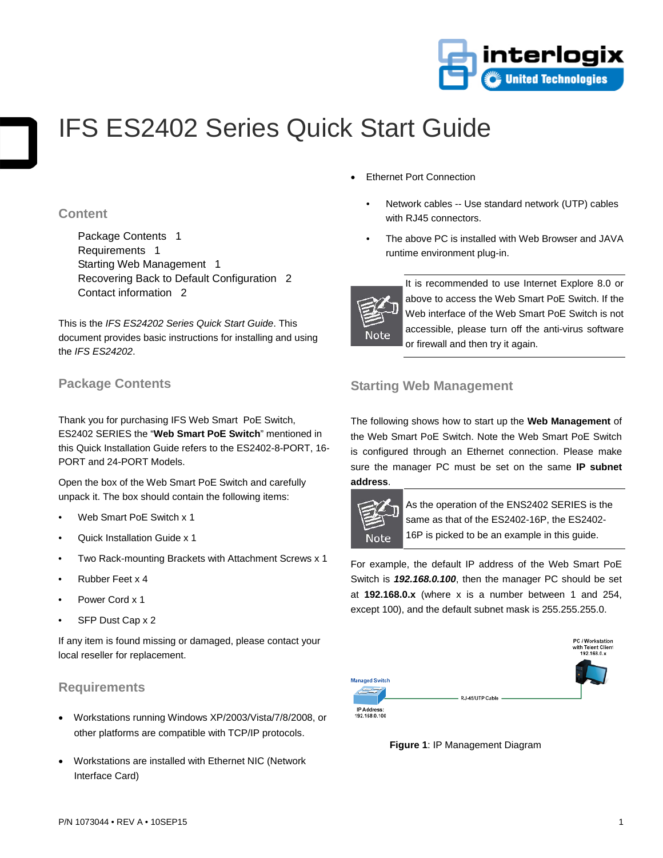

# IFS ES2402 Series Quick Start Guide

#### **Content**

Package Contents 1 Requirements 1 Starting Web Management 1 Recovering Back to Default Configuration 2 Contact information 2

This is the *IFS ES24202 Series Quick Start Guide*. This document provides basic instructions for installing and using the *IFS ES24202*.

## **Package Contents**

Thank you for purchasing IFS Web Smart PoE Switch, ES2402 SERIES the "**Web Smart PoE Switch**" mentioned in this Quick Installation Guide refers to the ES2402-8-PORT, 16- PORT and 24-PORT Models.

Open the box of the Web Smart PoE Switch and carefully unpack it. The box should contain the following items:

- Web Smart PoE Switch x 1
- Quick Installation Guide x 1
- Two Rack-mounting Brackets with Attachment Screws x 1
- Rubber Feet x 4
- Power Cord x 1
- SFP Dust Cap x 2

If any item is found missing or damaged, please contact your local reseller for replacement.

### **Requirements**

- Workstations running Windows XP/2003/Vista/7/8/2008, or other platforms are compatible with TCP/IP protocols.
- Workstations are installed with Ethernet NIC (Network Interface Card)
- **Ethernet Port Connection** 
	- Network cables -- Use standard network (UTP) cables with RJ45 connectors.
	- The above PC is installed with Web Browser and JAVA runtime environment plug-in.



It is recommended to use Internet Explore 8.0 or above to access the Web Smart PoE Switch. If the Web interface of the Web Smart PoE Switch is not accessible, please turn off the anti-virus software or firewall and then try it again.

## **Starting Web Management**

The following shows how to start up the **Web Management** of the Web Smart PoE Switch. Note the Web Smart PoE Switch is configured through an Ethernet connection. Please make sure the manager PC must be set on the same **IP subnet address**.



As the operation of the ENS2402 SERIES is the same as that of the ES2402-16P, the ES2402- 16P is picked to be an example in this guide.

For example, the default IP address of the Web Smart PoE Switch is *192.168.0.100*, then the manager PC should be set at **192.168.0.x** (where x is a number between 1 and 254, except 100), and the default subnet mask is 255.255.255.0.



**Figure 1**: IP Management Diagram